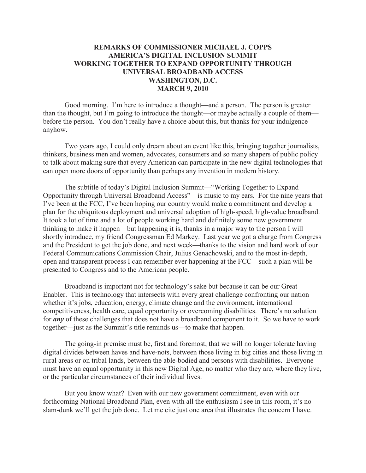## **REMARKS OF COMMISSIONER MICHAEL J. COPPS AMERICA'S DIGITAL INCLUSION SUMMIT WORKING TOGETHER TO EXPAND OPPORTUNITY THROUGH UNIVERSAL BROADBAND ACCESS WASHINGTON, D.C. MARCH 9, 2010**

Good morning. I'm here to introduce a thought—and a person. The person is greater than the thought, but I'm going to introduce the thought—or maybe actually a couple of them before the person. You don't really have a choice about this, but thanks for your indulgence anyhow.

Two years ago, I could only dream about an event like this, bringing together journalists, thinkers, business men and women, advocates, consumers and so many shapers of public policy to talk about making sure that every American can participate in the new digital technologies that can open more doors of opportunity than perhaps any invention in modern history.

The subtitle of today's Digital Inclusion Summit—"Working Together to Expand Opportunity through Universal Broadband Access"—is music to my ears. For the nine years that I've been at the FCC, I've been hoping our country would make a commitment and develop a plan for the ubiquitous deployment and universal adoption of high-speed, high-value broadband. It took a lot of time and a lot of people working hard and definitely some new government thinking to make it happen—but happening it is, thanks in a major way to the person I will shortly introduce, my friend Congressman Ed Markey. Last year we got a charge from Congress and the President to get the job done, and next week—thanks to the vision and hard work of our Federal Communications Commission Chair, Julius Genachowski, and to the most in-depth, open and transparent process I can remember ever happening at the FCC—such a plan will be presented to Congress and to the American people.

Broadband is important not for technology's sake but because it can be our Great Enabler. This is technology that intersects with every great challenge confronting our nation whether it's jobs, education, energy, climate change and the environment, international competitiveness, health care, equal opportunity or overcoming disabilities. There's no solution for *any* of these challenges that does not have a broadband component to it. So we have to work together—just as the Summit's title reminds us—to make that happen.

The going-in premise must be, first and foremost, that we will no longer tolerate having digital divides between haves and have-nots, between those living in big cities and those living in rural areas or on tribal lands, between the able-bodied and persons with disabilities. Everyone must have an equal opportunity in this new Digital Age, no matter who they are, where they live, or the particular circumstances of their individual lives.

But you know what? Even with our new government commitment, even with our forthcoming National Broadband Plan, even with all the enthusiasm I see in this room, it's no slam-dunk we'll get the job done. Let me cite just one area that illustrates the concern I have.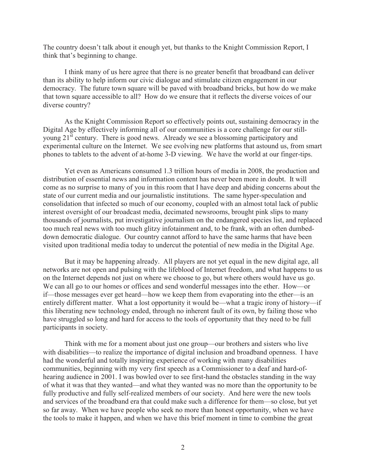The country doesn't talk about it enough yet, but thanks to the Knight Commission Report, I think that's beginning to change.

I think many of us here agree that there is no greater benefit that broadband can deliver than its ability to help inform our civic dialogue and stimulate citizen engagement in our democracy. The future town square will be paved with broadband bricks, but how do we make that town square accessible to all? How do we ensure that it reflects the diverse voices of our diverse country?

As the Knight Commission Report so effectively points out, sustaining democracy in the Digital Age by effectively informing all of our communities is a core challenge for our stillyoung 21<sup>st</sup> century. There is good news. Already we see a blossoming participatory and experimental culture on the Internet. We see evolving new platforms that astound us, from smart phones to tablets to the advent of at-home 3-D viewing. We have the world at our finger-tips.

Yet even as Americans consumed 1.3 trillion hours of media in 2008, the production and distribution of essential news and information content has never been more in doubt. It will come as no surprise to many of you in this room that I have deep and abiding concerns about the state of our current media and our journalistic institutions. The same hyper-speculation and consolidation that infected so much of our economy, coupled with an almost total lack of public interest oversight of our broadcast media, decimated newsrooms, brought pink slips to many thousands of journalists, put investigative journalism on the endangered species list, and replaced too much real news with too much glitzy infotainment and, to be frank, with an often dumbeddown democratic dialogue. Our country cannot afford to have the same harms that have been visited upon traditional media today to undercut the potential of new media in the Digital Age.

But it may be happening already. All players are not yet equal in the new digital age, all networks are not open and pulsing with the lifeblood of Internet freedom, and what happens to us on the Internet depends not just on where we choose to go, but where others would have us go. We can all go to our homes or offices and send wonderful messages into the ether. How—or if—those messages ever get heard—how we keep them from evaporating into the ether—is an entirely different matter. What a lost opportunity it would be—what a tragic irony of history—if this liberating new technology ended, through no inherent fault of its own, by failing those who have struggled so long and hard for access to the tools of opportunity that they need to be full participants in society.

Think with me for a moment about just one group—our brothers and sisters who live with disabilities—to realize the importance of digital inclusion and broadband openness. I have had the wonderful and totally inspiring experience of working with many disabilities communities, beginning with my very first speech as a Commissioner to a deaf and hard-ofhearing audience in 2001. I was bowled over to see first-hand the obstacles standing in the way of what it was that they wanted—and what they wanted was no more than the opportunity to be fully productive and fully self-realized members of our society. And here were the new tools and services of the broadband era that could make such a difference for them—so close, but yet so far away. When we have people who seek no more than honest opportunity, when we have the tools to make it happen, and when we have this brief moment in time to combine the great